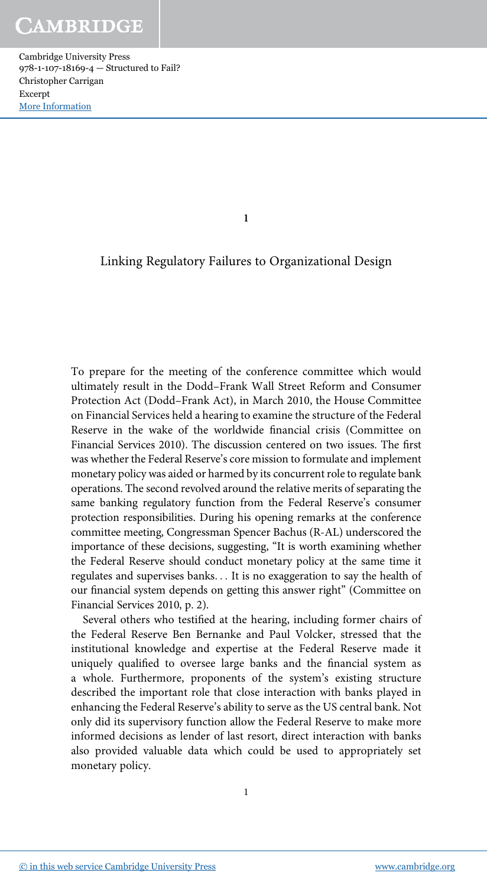1

### Linking Regulatory Failures to Organizational Design

To prepare for the meeting of the conference committee which would ultimately result in the Dodd–Frank Wall Street Reform and Consumer Protection Act (Dodd–Frank Act), in March 2010, the House Committee on Financial Services held a hearing to examine the structure of the Federal Reserve in the wake of the worldwide financial crisis (Committee on Financial Services 2010). The discussion centered on two issues. The first was whether the Federal Reserve's core mission to formulate and implement monetary policy was aided or harmed by its concurrent role to regulate bank operations. The second revolved around the relative merits of separating the same banking regulatory function from the Federal Reserve's consumer protection responsibilities. During his opening remarks at the conference committee meeting, Congressman Spencer Bachus (R-AL) underscored the importance of these decisions, suggesting, "It is worth examining whether the Federal Reserve should conduct monetary policy at the same time it regulates and supervises banks... It is no exaggeration to say the health of our financial system depends on getting this answer right" (Committee on Financial Services 2010, p. 2).

Several others who testified at the hearing, including former chairs of the Federal Reserve Ben Bernanke and Paul Volcker, stressed that the institutional knowledge and expertise at the Federal Reserve made it uniquely qualified to oversee large banks and the financial system as a whole. Furthermore, proponents of the system's existing structure described the important role that close interaction with banks played in enhancing the Federal Reserve's ability to serve as the US central bank. Not only did its supervisory function allow the Federal Reserve to make more informed decisions as lender of last resort, direct interaction with banks also provided valuable data which could be used to appropriately set monetary policy.

1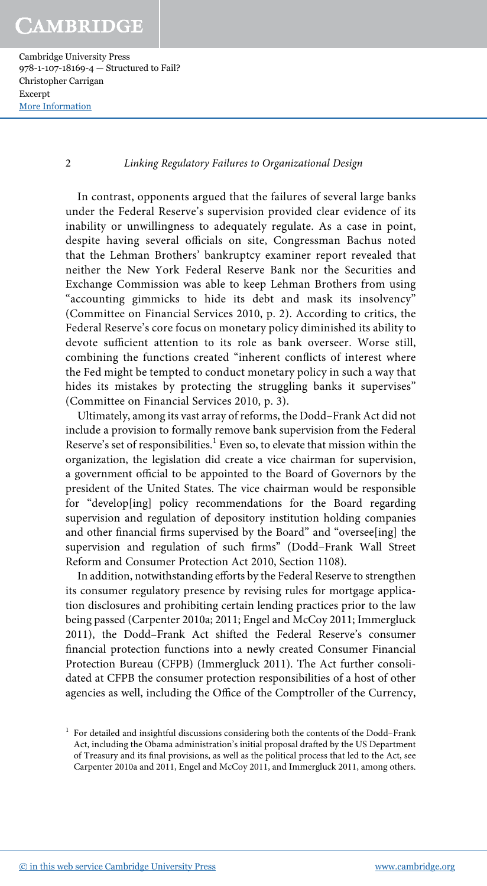Cambridge University Press 978-1-107-18169-4 — Structured to Fail? Christopher Carrigan Excerpt [More Information](www.cambridge.org/9781107181694)

2 Linking Regulatory Failures to Organizational Design

In contrast, opponents argued that the failures of several large banks under the Federal Reserve's supervision provided clear evidence of its inability or unwillingness to adequately regulate. As a case in point, despite having several officials on site, Congressman Bachus noted that the Lehman Brothers' bankruptcy examiner report revealed that neither the New York Federal Reserve Bank nor the Securities and Exchange Commission was able to keep Lehman Brothers from using "accounting gimmicks to hide its debt and mask its insolvency" (Committee on Financial Services 2010, p. 2). According to critics, the Federal Reserve's core focus on monetary policy diminished its ability to devote sufficient attention to its role as bank overseer. Worse still, combining the functions created "inherent conflicts of interest where the Fed might be tempted to conduct monetary policy in such a way that hides its mistakes by protecting the struggling banks it supervises" (Committee on Financial Services 2010, p. 3).

Ultimately, among its vast array of reforms, the Dodd–Frank Act did not include a provision to formally remove bank supervision from the Federal Reserve's set of responsibilities.<sup>1</sup> Even so, to elevate that mission within the organization, the legislation did create a vice chairman for supervision, a government official to be appointed to the Board of Governors by the president of the United States. The vice chairman would be responsible for "develop[ing] policy recommendations for the Board regarding supervision and regulation of depository institution holding companies and other financial firms supervised by the Board" and "oversee[ing] the supervision and regulation of such firms" (Dodd–Frank Wall Street Reform and Consumer Protection Act 2010, Section 1108).

In addition, notwithstanding efforts by the Federal Reserve to strengthen its consumer regulatory presence by revising rules for mortgage application disclosures and prohibiting certain lending practices prior to the law being passed (Carpenter 2010a; 2011; Engel and McCoy 2011; Immergluck 2011), the Dodd–Frank Act shifted the Federal Reserve's consumer financial protection functions into a newly created Consumer Financial Protection Bureau (CFPB) (Immergluck 2011). The Act further consolidated at CFPB the consumer protection responsibilities of a host of other agencies as well, including the Office of the Comptroller of the Currency,

<sup>1</sup> For detailed and insightful discussions considering both the contents of the Dodd–Frank Act, including the Obama administration's initial proposal drafted by the US Department of Treasury and its final provisions, as well as the political process that led to the Act, see Carpenter 2010a and 2011, Engel and McCoy 2011, and Immergluck 2011, among others.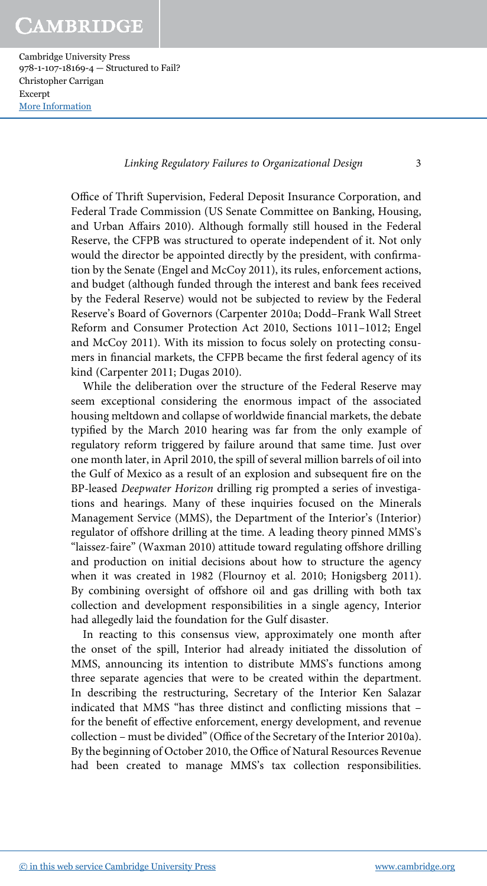Cambridge University Press 978-1-107-18169-4 — Structured to Fail? Christopher Carrigan Excerpt [More Information](www.cambridge.org/9781107181694)

Linking Regulatory Failures to Organizational Design 3

Office of Thrift Supervision, Federal Deposit Insurance Corporation, and Federal Trade Commission (US Senate Committee on Banking, Housing, and Urban Affairs 2010). Although formally still housed in the Federal Reserve, the CFPB was structured to operate independent of it. Not only would the director be appointed directly by the president, with confirmation by the Senate (Engel and McCoy 2011), its rules, enforcement actions, and budget (although funded through the interest and bank fees received by the Federal Reserve) would not be subjected to review by the Federal Reserve's Board of Governors (Carpenter 2010a; Dodd–Frank Wall Street Reform and Consumer Protection Act 2010, Sections 1011–1012; Engel and McCoy 2011). With its mission to focus solely on protecting consumers in financial markets, the CFPB became the first federal agency of its kind (Carpenter 2011; Dugas 2010).

While the deliberation over the structure of the Federal Reserve may seem exceptional considering the enormous impact of the associated housing meltdown and collapse of worldwide financial markets, the debate typified by the March 2010 hearing was far from the only example of regulatory reform triggered by failure around that same time. Just over one month later, in April 2010, the spill of several million barrels of oil into the Gulf of Mexico as a result of an explosion and subsequent fire on the BP-leased Deepwater Horizon drilling rig prompted a series of investigations and hearings. Many of these inquiries focused on the Minerals Management Service (MMS), the Department of the Interior's (Interior) regulator of offshore drilling at the time. A leading theory pinned MMS's "laissez-faire" (Waxman 2010) attitude toward regulating offshore drilling and production on initial decisions about how to structure the agency when it was created in 1982 (Flournoy et al. 2010; Honigsberg 2011). By combining oversight of offshore oil and gas drilling with both tax collection and development responsibilities in a single agency, Interior had allegedly laid the foundation for the Gulf disaster.

In reacting to this consensus view, approximately one month after the onset of the spill, Interior had already initiated the dissolution of MMS, announcing its intention to distribute MMS's functions among three separate agencies that were to be created within the department. In describing the restructuring, Secretary of the Interior Ken Salazar indicated that MMS "has three distinct and conflicting missions that – for the benefit of effective enforcement, energy development, and revenue collection – must be divided" (Office of the Secretary of the Interior 2010a). By the beginning of October 2010, the Office of Natural Resources Revenue had been created to manage MMS's tax collection responsibilities.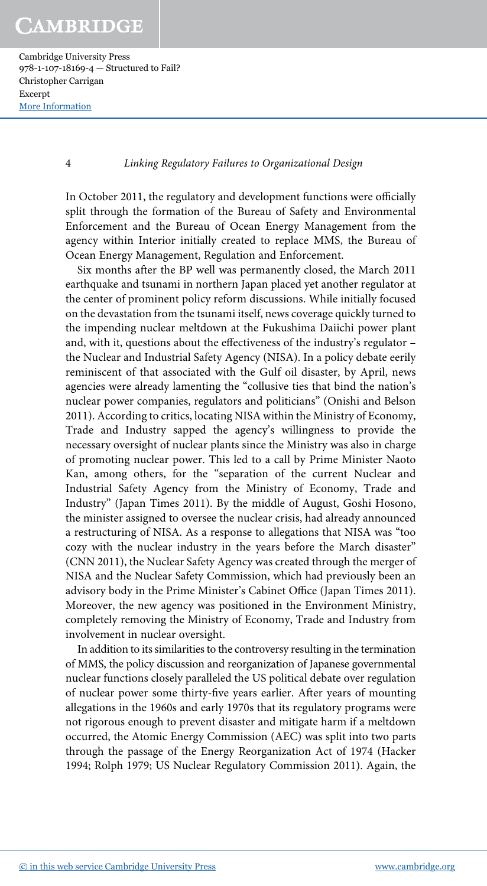4 Linking Regulatory Failures to Organizational Design

In October 2011, the regulatory and development functions were officially split through the formation of the Bureau of Safety and Environmental Enforcement and the Bureau of Ocean Energy Management from the agency within Interior initially created to replace MMS, the Bureau of Ocean Energy Management, Regulation and Enforcement.

Six months after the BP well was permanently closed, the March 2011 earthquake and tsunami in northern Japan placed yet another regulator at the center of prominent policy reform discussions. While initially focused on the devastation from the tsunami itself, news coverage quickly turned to the impending nuclear meltdown at the Fukushima Daiichi power plant and, with it, questions about the effectiveness of the industry's regulator – the Nuclear and Industrial Safety Agency (NISA). In a policy debate eerily reminiscent of that associated with the Gulf oil disaster, by April, news agencies were already lamenting the "collusive ties that bind the nation's nuclear power companies, regulators and politicians" (Onishi and Belson 2011). According to critics, locating NISA within the Ministry of Economy, Trade and Industry sapped the agency's willingness to provide the necessary oversight of nuclear plants since the Ministry was also in charge of promoting nuclear power. This led to a call by Prime Minister Naoto Kan, among others, for the "separation of the current Nuclear and Industrial Safety Agency from the Ministry of Economy, Trade and Industry" (Japan Times 2011). By the middle of August, Goshi Hosono, the minister assigned to oversee the nuclear crisis, had already announced a restructuring of NISA. As a response to allegations that NISA was "too cozy with the nuclear industry in the years before the March disaster" (CNN 2011), the Nuclear Safety Agency was created through the merger of NISA and the Nuclear Safety Commission, which had previously been an advisory body in the Prime Minister's Cabinet Office (Japan Times 2011). Moreover, the new agency was positioned in the Environment Ministry, completely removing the Ministry of Economy, Trade and Industry from involvement in nuclear oversight.

In addition to its similarities to the controversy resulting in the termination of MMS, the policy discussion and reorganization of Japanese governmental nuclear functions closely paralleled the US political debate over regulation of nuclear power some thirty-five years earlier. After years of mounting allegations in the 1960s and early 1970s that its regulatory programs were not rigorous enough to prevent disaster and mitigate harm if a meltdown occurred, the Atomic Energy Commission (AEC) was split into two parts through the passage of the Energy Reorganization Act of 1974 (Hacker 1994; Rolph 1979; US Nuclear Regulatory Commission 2011). Again, the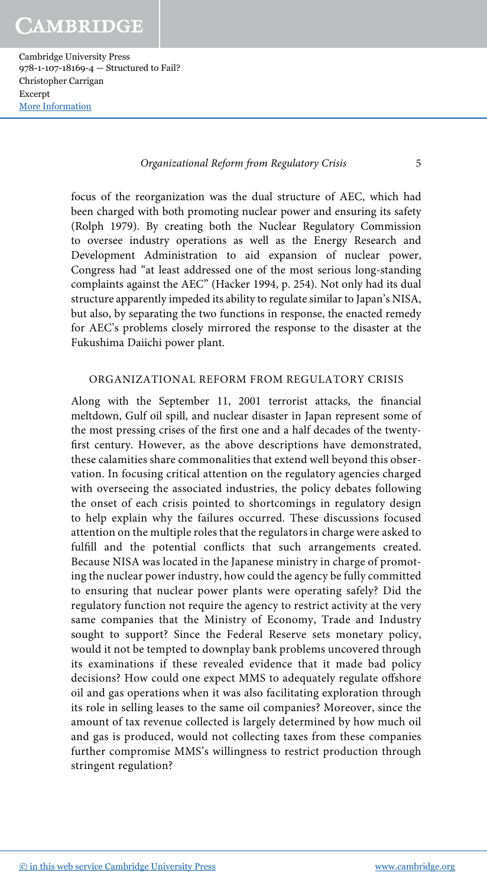Organizational Reform from Regulatory Crisis 5

focus of the reorganization was the dual structure of AEC, which had been charged with both promoting nuclear power and ensuring its safety (Rolph 1979). By creating both the Nuclear Regulatory Commission to oversee industry operations as well as the Energy Research and Development Administration to aid expansion of nuclear power, Congress had "at least addressed one of the most serious long-standing complaints against the AEC" (Hacker 1994, p. 254). Not only had its dual structure apparently impeded its ability to regulate similar to Japan's NISA, but also, by separating the two functions in response, the enacted remedy for AEC's problems closely mirrored the response to the disaster at the Fukushima Daiichi power plant.

#### ORGANIZATIONAL REFORM FROM REGULATORY CRISIS

Along with the September 11, 2001 terrorist attacks, the financial meltdown, Gulf oil spill, and nuclear disaster in Japan represent some of the most pressing crises of the first one and a half decades of the twentyfirst century. However, as the above descriptions have demonstrated, these calamities share commonalities that extend well beyond this observation. In focusing critical attention on the regulatory agencies charged with overseeing the associated industries, the policy debates following the onset of each crisis pointed to shortcomings in regulatory design to help explain why the failures occurred. These discussions focused attention on the multiple roles that the regulators in charge were asked to fulfill and the potential conflicts that such arrangements created. Because NISA was located in the Japanese ministry in charge of promoting the nuclear power industry, how could the agency be fully committed to ensuring that nuclear power plants were operating safely? Did the regulatory function not require the agency to restrict activity at the very same companies that the Ministry of Economy, Trade and Industry sought to support? Since the Federal Reserve sets monetary policy, would it not be tempted to downplay bank problems uncovered through its examinations if these revealed evidence that it made bad policy decisions? How could one expect MMS to adequately regulate offshore oil and gas operations when it was also facilitating exploration through its role in selling leases to the same oil companies? Moreover, since the amount of tax revenue collected is largely determined by how much oil and gas is produced, would not collecting taxes from these companies further compromise MMS's willingness to restrict production through stringent regulation?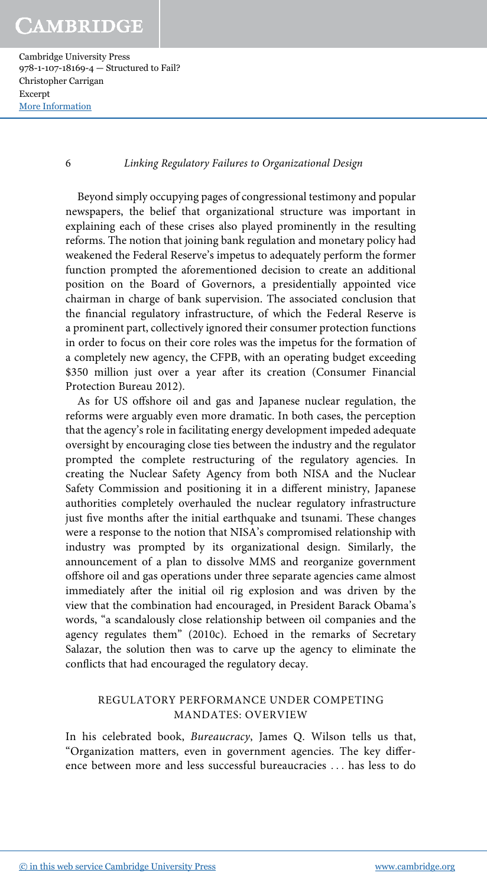Cambridge University Press 978-1-107-18169-4 — Structured to Fail? Christopher Carrigan Excerpt [More Information](www.cambridge.org/9781107181694)

6 Linking Regulatory Failures to Organizational Design

Beyond simply occupying pages of congressional testimony and popular newspapers, the belief that organizational structure was important in explaining each of these crises also played prominently in the resulting reforms. The notion that joining bank regulation and monetary policy had weakened the Federal Reserve's impetus to adequately perform the former function prompted the aforementioned decision to create an additional position on the Board of Governors, a presidentially appointed vice chairman in charge of bank supervision. The associated conclusion that the financial regulatory infrastructure, of which the Federal Reserve is a prominent part, collectively ignored their consumer protection functions in order to focus on their core roles was the impetus for the formation of a completely new agency, the CFPB, with an operating budget exceeding \$350 million just over a year after its creation (Consumer Financial Protection Bureau 2012).

As for US offshore oil and gas and Japanese nuclear regulation, the reforms were arguably even more dramatic. In both cases, the perception that the agency's role in facilitating energy development impeded adequate oversight by encouraging close ties between the industry and the regulator prompted the complete restructuring of the regulatory agencies. In creating the Nuclear Safety Agency from both NISA and the Nuclear Safety Commission and positioning it in a different ministry, Japanese authorities completely overhauled the nuclear regulatory infrastructure just five months after the initial earthquake and tsunami. These changes were a response to the notion that NISA's compromised relationship with industry was prompted by its organizational design. Similarly, the announcement of a plan to dissolve MMS and reorganize government offshore oil and gas operations under three separate agencies came almost immediately after the initial oil rig explosion and was driven by the view that the combination had encouraged, in President Barack Obama's words, "a scandalously close relationship between oil companies and the agency regulates them" (2010c). Echoed in the remarks of Secretary Salazar, the solution then was to carve up the agency to eliminate the conflicts that had encouraged the regulatory decay.

### REGULATORY PERFORMANCE UNDER COMPETING MANDATES: OVERVIEW

In his celebrated book, Bureaucracy, James Q. Wilson tells us that, "Organization matters, even in government agencies. The key difference between more and less successful bureaucracies ... has less to do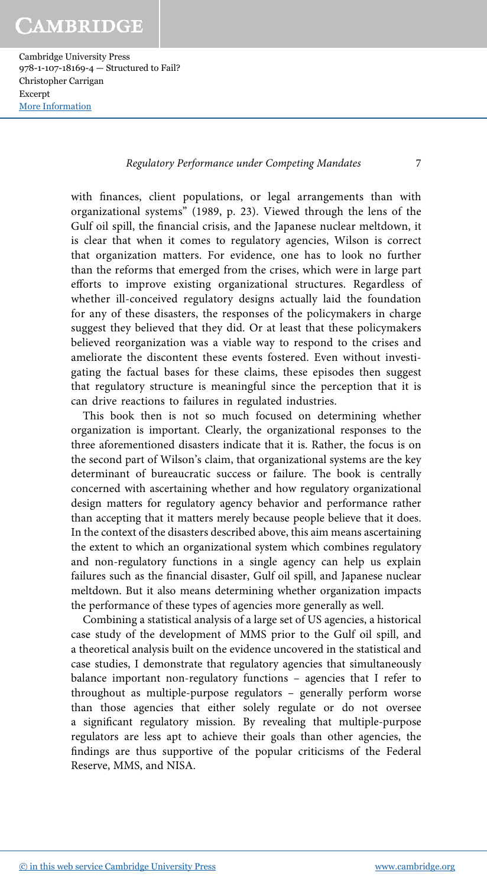Cambridge University Press 978-1-107-18169-4 — Structured to Fail? Christopher Carrigan Excerpt [More Information](www.cambridge.org/9781107181694)

#### Regulatory Performance under Competing Mandates 7

with finances, client populations, or legal arrangements than with organizational systems" (1989, p. 23). Viewed through the lens of the Gulf oil spill, the financial crisis, and the Japanese nuclear meltdown, it is clear that when it comes to regulatory agencies, Wilson is correct that organization matters. For evidence, one has to look no further than the reforms that emerged from the crises, which were in large part efforts to improve existing organizational structures. Regardless of whether ill-conceived regulatory designs actually laid the foundation for any of these disasters, the responses of the policymakers in charge suggest they believed that they did. Or at least that these policymakers believed reorganization was a viable way to respond to the crises and ameliorate the discontent these events fostered. Even without investigating the factual bases for these claims, these episodes then suggest that regulatory structure is meaningful since the perception that it is can drive reactions to failures in regulated industries.

This book then is not so much focused on determining whether organization is important. Clearly, the organizational responses to the three aforementioned disasters indicate that it is. Rather, the focus is on the second part of Wilson's claim, that organizational systems are the key determinant of bureaucratic success or failure. The book is centrally concerned with ascertaining whether and how regulatory organizational design matters for regulatory agency behavior and performance rather than accepting that it matters merely because people believe that it does. In the context of the disasters described above, this aim means ascertaining the extent to which an organizational system which combines regulatory and non-regulatory functions in a single agency can help us explain failures such as the financial disaster, Gulf oil spill, and Japanese nuclear meltdown. But it also means determining whether organization impacts the performance of these types of agencies more generally as well.

Combining a statistical analysis of a large set of US agencies, a historical case study of the development of MMS prior to the Gulf oil spill, and a theoretical analysis built on the evidence uncovered in the statistical and case studies, I demonstrate that regulatory agencies that simultaneously balance important non-regulatory functions – agencies that I refer to throughout as multiple-purpose regulators – generally perform worse than those agencies that either solely regulate or do not oversee a significant regulatory mission. By revealing that multiple-purpose regulators are less apt to achieve their goals than other agencies, the findings are thus supportive of the popular criticisms of the Federal Reserve, MMS, and NISA.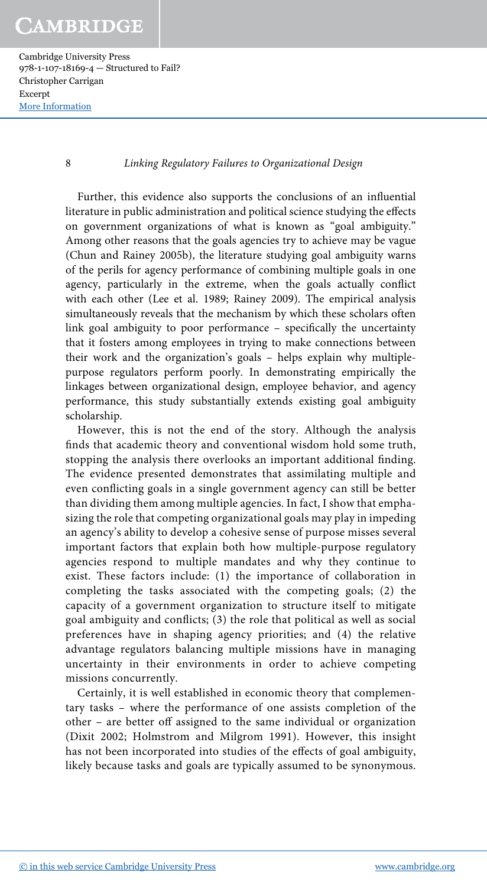8 Linking Regulatory Failures to Organizational Design

Further, this evidence also supports the conclusions of an influential literature in public administration and political science studying the effects on government organizations of what is known as "goal ambiguity." Among other reasons that the goals agencies try to achieve may be vague (Chun and Rainey 2005b), the literature studying goal ambiguity warns of the perils for agency performance of combining multiple goals in one agency, particularly in the extreme, when the goals actually conflict with each other (Lee et al. 1989; Rainey 2009). The empirical analysis simultaneously reveals that the mechanism by which these scholars often link goal ambiguity to poor performance – specifically the uncertainty that it fosters among employees in trying to make connections between their work and the organization's goals – helps explain why multiplepurpose regulators perform poorly. In demonstrating empirically the linkages between organizational design, employee behavior, and agency performance, this study substantially extends existing goal ambiguity scholarship.

However, this is not the end of the story. Although the analysis finds that academic theory and conventional wisdom hold some truth, stopping the analysis there overlooks an important additional finding. The evidence presented demonstrates that assimilating multiple and even conflicting goals in a single government agency can still be better than dividing them among multiple agencies. In fact, I show that emphasizing the role that competing organizational goals may play in impeding an agency's ability to develop a cohesive sense of purpose misses several important factors that explain both how multiple-purpose regulatory agencies respond to multiple mandates and why they continue to exist. These factors include: (1) the importance of collaboration in completing the tasks associated with the competing goals; (2) the capacity of a government organization to structure itself to mitigate goal ambiguity and conflicts; (3) the role that political as well as social preferences have in shaping agency priorities; and (4) the relative advantage regulators balancing multiple missions have in managing uncertainty in their environments in order to achieve competing missions concurrently.

Certainly, it is well established in economic theory that complementary tasks – where the performance of one assists completion of the other – are better off assigned to the same individual or organization (Dixit 2002; Holmstrom and Milgrom 1991). However, this insight has not been incorporated into studies of the effects of goal ambiguity, likely because tasks and goals are typically assumed to be synonymous.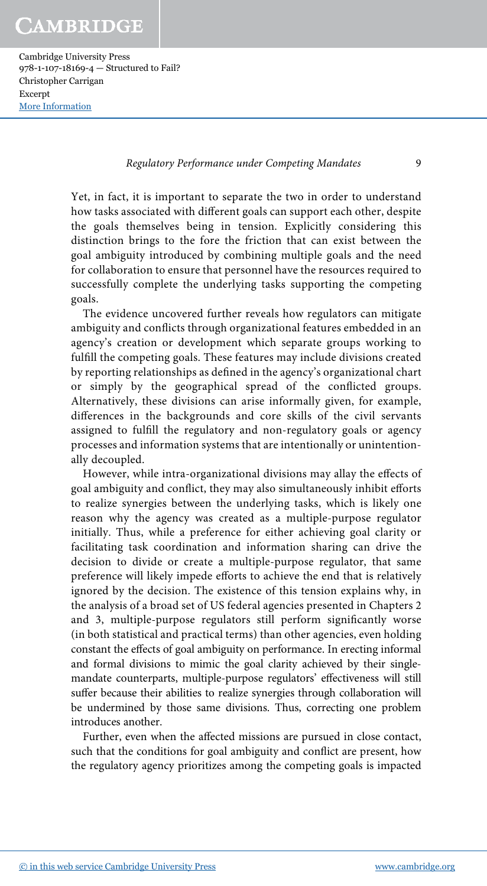#### Regulatory Performance under Competing Mandates 9

Yet, in fact, it is important to separate the two in order to understand how tasks associated with different goals can support each other, despite the goals themselves being in tension. Explicitly considering this distinction brings to the fore the friction that can exist between the goal ambiguity introduced by combining multiple goals and the need for collaboration to ensure that personnel have the resources required to successfully complete the underlying tasks supporting the competing goals.

The evidence uncovered further reveals how regulators can mitigate ambiguity and conflicts through organizational features embedded in an agency's creation or development which separate groups working to fulfill the competing goals. These features may include divisions created by reporting relationships as defined in the agency's organizational chart or simply by the geographical spread of the conflicted groups. Alternatively, these divisions can arise informally given, for example, differences in the backgrounds and core skills of the civil servants assigned to fulfill the regulatory and non-regulatory goals or agency processes and information systems that are intentionally or unintentionally decoupled.

However, while intra-organizational divisions may allay the effects of goal ambiguity and conflict, they may also simultaneously inhibit efforts to realize synergies between the underlying tasks, which is likely one reason why the agency was created as a multiple-purpose regulator initially. Thus, while a preference for either achieving goal clarity or facilitating task coordination and information sharing can drive the decision to divide or create a multiple-purpose regulator, that same preference will likely impede efforts to achieve the end that is relatively ignored by the decision. The existence of this tension explains why, in the analysis of a broad set of US federal agencies presented in Chapters 2 and 3, multiple-purpose regulators still perform significantly worse (in both statistical and practical terms) than other agencies, even holding constant the effects of goal ambiguity on performance. In erecting informal and formal divisions to mimic the goal clarity achieved by their singlemandate counterparts, multiple-purpose regulators' effectiveness will still suffer because their abilities to realize synergies through collaboration will be undermined by those same divisions. Thus, correcting one problem introduces another.

Further, even when the affected missions are pursued in close contact, such that the conditions for goal ambiguity and conflict are present, how the regulatory agency prioritizes among the competing goals is impacted